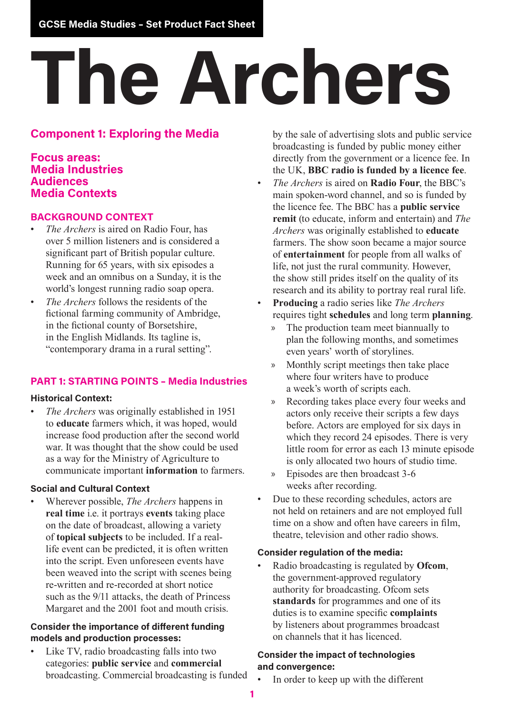# **The Archers**

# **Component 1: Exploring the Media**

#### **Focus areas: Media Industries Audiences Media Contexts**

#### **BACKGROUND CONTEXT**

- *The Archers* is aired on Radio Four, has over 5 million listeners and is considered a significant part of British popular culture. Running for 65 years, with six episodes a week and an omnibus on a Sunday, it is the world's longest running radio soap opera.
- *The Archers* follows the residents of the fictional farming community of Ambridge, in the fictional county of Borsetshire, in the English Midlands. Its tagline is, "contemporary drama in a rural setting".

# **PART 1: STARTING POINTS – Media Industries**

#### **Historical Context:**

• *The Archers* was originally established in 1951 to **educate** farmers which, it was hoped, would increase food production after the second world war. It was thought that the show could be used as a way for the Ministry of Agriculture to communicate important **information** to farmers.

#### **Social and Cultural Context**

• Wherever possible, *The Archers* happens in **real time** i.e. it portrays **events** taking place on the date of broadcast, allowing a variety of **topical subjects** to be included. If a reallife event can be predicted, it is often written into the script. Even unforeseen events have been weaved into the script with scenes being re-written and re-recorded at short notice such as the 9/11 attacks, the death of Princess Margaret and the 2001 foot and mouth crisis.

#### **Consider the importance of different funding models and production processes:**

• Like TV, radio broadcasting falls into two categories: **public service** and **commercial** broadcasting. Commercial broadcasting is funded by the sale of advertising slots and public service broadcasting is funded by public money either directly from the government or a licence fee. In the UK, **BBC radio is funded by a licence fee**.

- *The Archers* is aired on **Radio Four**, the BBC's main spoken-word channel, and so is funded by the licence fee. The BBC has a **public service remit** (to educate, inform and entertain) and *The Archers* was originally established to **educate** farmers. The show soon became a major source of **entertainment** for people from all walks of life, not just the rural community. However, the show still prides itself on the quality of its research and its ability to portray real rural life.
- **Producing** a radio series like *The Archers* requires tight **schedules** and long term **planning**.
	- » The production team meet biannually to plan the following months, and sometimes even years' worth of storylines.
	- » Monthly script meetings then take place where four writers have to produce a week's worth of scripts each.
	- » Recording takes place every four weeks and actors only receive their scripts a few days before. Actors are employed for six days in which they record 24 episodes. There is very little room for error as each 13 minute episode is only allocated two hours of studio time.
	- » Episodes are then broadcast 3-6 weeks after recording.
- Due to these recording schedules, actors are not held on retainers and are not employed full time on a show and often have careers in film, theatre, television and other radio shows.

#### **Consider regulation of the media:**

• Radio broadcasting is regulated by **Ofcom**, the government-approved regulatory authority for broadcasting. Ofcom sets **standards** for programmes and one of its duties is to examine specific **complaints** by listeners about programmes broadcast on channels that it has licenced.

#### **Consider the impact of technologies and convergence:**

In order to keep up with the different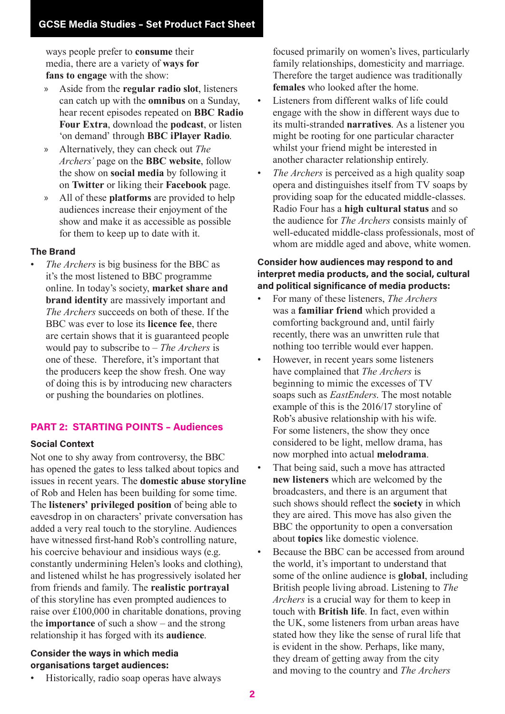ways people prefer to **consume** their media, there are a variety of **ways for fans to engage** with the show:

- » Aside from the **regular radio slot**, listeners can catch up with the **omnibus** on a Sunday, hear recent episodes repeated on **BBC Radio Four Extra**, download the **podcast**, or listen 'on demand' through **BBC iPlayer Radio**.
- » Alternatively, they can check out *The Archers'* page on the **BBC website**, follow the show on **social media** by following it on **Twitter** or liking their **Facebook** page.
- » All of these **platforms** are provided to help audiences increase their enjoyment of the show and make it as accessible as possible for them to keep up to date with it.

### **The Brand**

• *The Archers* is big business for the BBC as it's the most listened to BBC programme online. In today's society, **market share and brand identity** are massively important and *The Archers* succeeds on both of these. If the BBC was ever to lose its **licence fee**, there are certain shows that it is guaranteed people would pay to subscribe to – *The Archers* is one of these. Therefore, it's important that the producers keep the show fresh. One way of doing this is by introducing new characters or pushing the boundaries on plotlines.

# **PART 2: STARTING POINTS – Audiences**

# **Social Context**

Not one to shy away from controversy, the BBC has opened the gates to less talked about topics and issues in recent years. The **domestic abuse storyline** of Rob and Helen has been building for some time. The **listeners' privileged position** of being able to eavesdrop in on characters' private conversation has added a very real touch to the storyline. Audiences have witnessed first-hand Rob's controlling nature, his coercive behaviour and insidious ways (e.g. constantly undermining Helen's looks and clothing), and listened whilst he has progressively isolated her from friends and family. The **realistic portrayal** of this storyline has even prompted audiences to raise over £100,000 in charitable donations, proving the **importance** of such a show – and the strong relationship it has forged with its **audience**.

#### **Consider the ways in which media organisations target audiences:**

• Historically, radio soap operas have always

focused primarily on women's lives, particularly family relationships, domesticity and marriage. Therefore the target audience was traditionally **females** who looked after the home.

- Listeners from different walks of life could engage with the show in different ways due to its multi-stranded **narratives**. As a listener you might be rooting for one particular character whilst your friend might be interested in another character relationship entirely.
- The *Archers* is perceived as a high quality soap opera and distinguishes itself from TV soaps by providing soap for the educated middle-classes. Radio Four has a **high cultural status** and so the audience for *The Archers* consists mainly of well-educated middle-class professionals, most of whom are middle aged and above, white women.

#### **Consider how audiences may respond to and interpret media products, and the social, cultural and political significance of media products:**

- For many of these listeners, *The Archers* was a **familiar friend** which provided a comforting background and, until fairly recently, there was an unwritten rule that nothing too terrible would ever happen.
- However, in recent years some listeners have complained that *The Archers* is beginning to mimic the excesses of TV soaps such as *EastEnders*. The most notable example of this is the 2016/17 storyline of Rob's abusive relationship with his wife. For some listeners, the show they once considered to be light, mellow drama, has now morphed into actual **melodrama**.
- That being said, such a move has attracted **new listeners** which are welcomed by the broadcasters, and there is an argument that such shows should reflect the **society** in which they are aired. This move has also given the BBC the opportunity to open a conversation about **topics** like domestic violence.
- Because the BBC can be accessed from around the world, it's important to understand that some of the online audience is **global**, including British people living abroad. Listening to *The Archers* is a crucial way for them to keep in touch with **British life**. In fact, even within the UK, some listeners from urban areas have stated how they like the sense of rural life that is evident in the show. Perhaps, like many, they dream of getting away from the city and moving to the country and *The Archers*